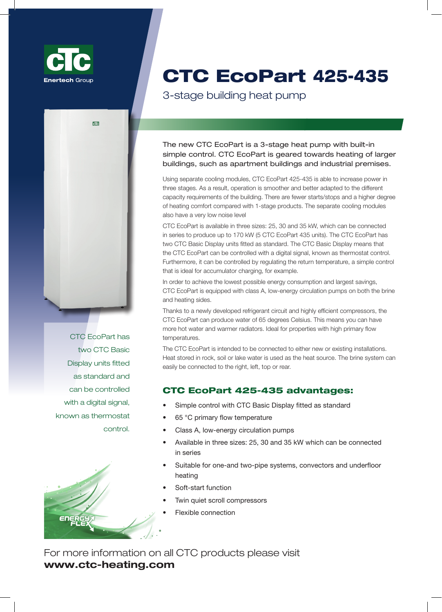



CTC EcoPart имеет два СТС основных дисплея, которые входят в стандартную комплектацию. Благодаря CTC Basic Display, СТС EcoPart можно управлять с помощью цифрового сигнала, известного как контроль термостата.



# CTC EcoPart 425-435

## **3-степенчатый тепловой насос**

Новый CTC EcoPart – это 3-ступенчатый тепловой насос со встроенным простым управлением. CTC EcoPart направлен на обогрев больших зданий, таких как жилые здания и промышленные помещения.

Благодаря использованию отдельных модулей охлаждения, CTC EcoPart Pro способен увеличить мощность в три этапа. В результате, насос работает более гладко и лучше приспособлен к различным требованиям по объемам здания. Уменьшилось количество старт/стопов и увеличилась степень теплового комфорта по сравнению с 1-ступенчатым аналогом. Кроме того, отдельные охлаждающие модули имеют также очень низкий уровень шума. CTC EcoPart доступен в трех размерах: 25, 30 и 35 кВт, которые могут быть соединены последовательно производить до 170 кВт (5 CTC EcoPart 435 единиц). CTC EcoPart имеет два СТС основных дисплея, которые входят в стандартную комплектацию. Благодаря CTC Basic Display, СТС EcoPart можно управлять с помощью цифрового сигнала, известного как контроль термостата. Кроме того, им можно управлять, регулируя температуру возврата, простое управление, например, является идеальным для зарядки аккумуляторов.

IДля достижения минимально возможного потребления энергии и максимальной экономии, СТС EcoPart оснащен циркуляционными насосами класса А, низким потреблением энергии как со стороны соляного раствора, так и со стороны отопления.

Благодаря недавно разработанному холодильному контуру и высокоэффективным компрессорам, CTC EcoPart может нагревать воду до 65 градусов по Цельсию. Это означает, что вы можете иметь больше горячей воды и теплые радиаторы. Идеально подходит для помещений с высокими первичными температурами потока.

CTC EcoPart предназначен для подключения либо к новым, или к уже существующим установкам. Тепло из камня, почвы или озерной воды используется в качестве источника тепла. Систему соляного раствора можно легко подключить к правой, левой, верхней или задней части.

### **Преимущества CTC EcoPart 425-435:**

- Простое управление основной дисплей входит в стандартную комплектацию
- Температура первичного потока 65 ° С
- Циркуляционные насосы Класса A, с низким потреблением энергии
- Выпускается в трех размерах: 25, 30 и 35 кВт, которые могут быть соединены последовательно
- Подходит для одно- и двухтрубных систем, конвекторов и напольного отопления
- Функция плавного пуска
- Два тихих спиральных компрессора
- Гибкое соединение

Для получения более детальной информации о продукции СТС, посетите, пожалуйста, сайт **www.unigy.com.ua**